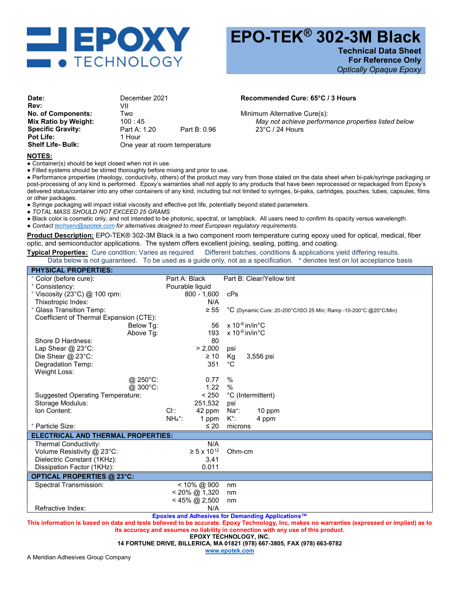

Technical Data Sheet For Reference Only Optically Opaque Epoxy

| December 2021                |              |
|------------------------------|--------------|
| VII                          |              |
| Two                          |              |
| 100:45                       |              |
| Part A: 1.20                 | Part B: 0.96 |
| 1 Hour                       |              |
| One year at room temperature |              |
|                              |              |

## Recommended Cure: 65°C / 3 Hours

Minimum Alternative Cure(s): May not achieve performance properties listed below 23°C / 24 Hours

## NOTES:

• Container(s) should be kept closed when not in use.

● Filled systems should be stirred thoroughly before mixing and prior to use.

● Performance properties (rheology, conductivity, others) of the product may vary from those stated on the data sheet when bi-pak/syringe packaging or post-processing of any kind is performed. Epoxy's warranties shall not apply to any products that have been reprocessed or repackaged from Epoxy's delivered status/container into any other containers of any kind, including but not limited to syringes, bi-paks, cartridges, pouches, tubes, capsules, films or other packages.

● Syringe packaging will impact initial viscosity and effective pot life, potentially beyond stated parameters.

● TOTAL MASS SHOULD NOT EXCEED 25 GRAMS

● Black color is cosmetic only, and not intended to be photonic, spectral, or lampblack. All users need to confirm its opacity versus wavelength.

**• Contact <b>techserv@epotek.com** for alternatives designed to meet European regulatory requirements.

Product Description: EPO-TEK® 302-3M Black is a two component room temperature curing epoxy used for optical, medical, fiber optic, and semiconductor applications. The system offers excellent joining, sealing, potting, and coating.

Typical Properties: Cure condition: Varies as required Different batches, conditions & applications yield differing results. Data below is not guaranteed. To be used as a guide only, not as a specification. \* denotes test on lot acceptance basis

| <b>PHYSICAL PROPERTIES:</b>               |                                |                                                                  |  |
|-------------------------------------------|--------------------------------|------------------------------------------------------------------|--|
| Color (before cure):                      | Part A: Black                  | Part B: Clear/Yellow tint                                        |  |
| * Consistency:                            | Pourable liquid                |                                                                  |  |
| * Viscosity (23 $^{\circ}$ C) @ 100 rpm:  | $800 - 1,600$                  | cPs                                                              |  |
| Thixotropic Index:                        | N/A                            |                                                                  |  |
| * Glass Transition Temp:                  | $\geq 55$                      | °C (Dynamic Cure: 20-200°C/ISO 25 Min; Ramp -10-200°C @20°C/Min) |  |
| Coefficient of Thermal Expansion (CTE):   |                                |                                                                  |  |
| Below Tg:                                 | 56                             | $x 10^{-6}$ in/in°C                                              |  |
| Above Tq:                                 | 193                            | $x 10^{-6}$ in/in°C                                              |  |
| Shore D Hardness:                         | 80                             |                                                                  |  |
| Lap Shear @ 23°C:                         | > 2,000                        | psi                                                              |  |
| Die Shear @ 23°C:                         | $\geq 10$                      | Kg<br>3,556 psi                                                  |  |
| Degradation Temp:                         | 351                            | °C                                                               |  |
| Weight Loss:                              |                                |                                                                  |  |
| $@.250^{\circ}$ C:                        | 0.77                           | %                                                                |  |
| @ 300°C:                                  | 1.22                           | $\frac{0}{0}$                                                    |  |
| <b>Suggested Operating Temperature:</b>   | < 250                          | °C (Intermittent)                                                |  |
| Storage Modulus:                          | 251,532                        | psi                                                              |  |
| Ion Content:                              | CI.<br>42 ppm                  | $Na+$ :<br>10 ppm                                                |  |
|                                           | $NH_4$ <sup>+</sup> :<br>1 ppm | $K^+$ :<br>4 ppm                                                 |  |
| * Particle Size:                          | $\leq 20$                      | microns                                                          |  |
| <b>ELECTRICAL AND THERMAL PROPERTIES:</b> |                                |                                                                  |  |
| Thermal Conductivity:                     | N/A                            |                                                                  |  |
| Volume Resistivity @ 23°C:                | $\geq 5 \times 10^{12}$        | Ohm-cm                                                           |  |
| Dielectric Constant (1KHz):               | 3.41                           |                                                                  |  |
| Dissipation Factor (1KHz):                | 0.011                          |                                                                  |  |
| <b>OPTICAL PROPERTIES @ 23°C:</b>         |                                |                                                                  |  |
| Spectral Transmission:                    | < 10% @ 900                    | nm                                                               |  |
|                                           | $< 20\%$ @ 1,320               | nm                                                               |  |
|                                           | $< 45\%$ @ 2,500               | nm                                                               |  |
| Refractive Index:                         | N/A                            |                                                                  |  |

Epoxies and Adhesives for Demanding Applications™

This information is based on data and tests believed to be accurate. Epoxy Technology, Inc. makes no warranties (expressed or implied) as to its accuracy and assumes no liability in connection with any use of this product.

EPOXY TECHNOLOGY, INC.

14 FORTUNE DRIVE, BILLERICA, MA 01821 (978) 667-3805, FAX (978) 663-9782

www.epotek.com